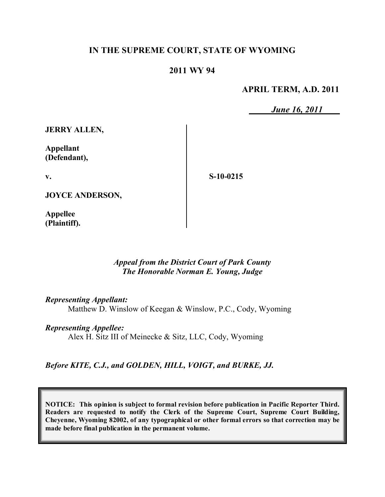### **IN THE SUPREME COURT, STATE OF WYOMING**

#### **2011 WY 94**

#### **APRIL TERM, A.D. 2011**

*June 16, 2011*

**JERRY ALLEN,**

**Appellant (Defendant),**

**v.**

**S-10-0215**

**JOYCE ANDERSON,**

**Appellee (Plaintiff).**

#### *Appeal from the District Court of Park County The Honorable Norman E. Young, Judge*

*Representing Appellant:*

Matthew D. Winslow of Keegan & Winslow, P.C., Cody, Wyoming

*Representing Appellee:*

Alex H. Sitz III of Meinecke & Sitz, LLC, Cody, Wyoming

*Before KITE, C.J., and GOLDEN, HILL, VOIGT, and BURKE, JJ.*

**NOTICE: This opinion is subject to formal revision before publication in Pacific Reporter Third. Readers are requested to notify the Clerk of the Supreme Court, Supreme Court Building, Cheyenne, Wyoming 82002, of any typographical or other formal errors so that correction may be made before final publication in the permanent volume.**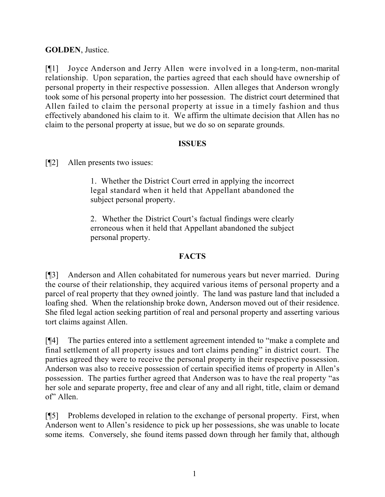# **GOLDEN**, Justice.

[¶1] Joyce Anderson and Jerry Allen were involved in a long-term, non-marital relationship. Upon separation, the parties agreed that each should have ownership of personal property in their respective possession. Allen alleges that Anderson wrongly took some of his personal property into her possession. The district court determined that Allen failed to claim the personal property at issue in a timely fashion and thus effectively abandoned his claim to it. We affirm the ultimate decision that Allen has no claim to the personal property at issue, but we do so on separate grounds.

## **ISSUES**

[¶2] Allen presents two issues:

1. Whether the District Court erred in applying the incorrect legal standard when it held that Appellant abandoned the subject personal property.

2. Whether the District Court's factual findings were clearly erroneous when it held that Appellant abandoned the subject personal property.

# **FACTS**

[¶3] Anderson and Allen cohabitated for numerous years but never married. During the course of their relationship, they acquired various items of personal property and a parcel of real property that they owned jointly. The land was pasture land that included a loafing shed. When the relationship broke down, Anderson moved out of their residence. She filed legal action seeking partition of real and personal property and asserting various tort claims against Allen.

[¶4] The parties entered into a settlement agreement intended to "make a complete and final settlement of all property issues and tort claims pending" in district court. The parties agreed they were to receive the personal property in their respective possession. Anderson was also to receive possession of certain specified items of property in Allen's possession. The parties further agreed that Anderson was to have the real property "as her sole and separate property, free and clear of any and all right, title, claim or demand of" Allen.

[¶5] Problems developed in relation to the exchange of personal property. First, when Anderson went to Allen's residence to pick up her possessions, she was unable to locate some items. Conversely, she found items passed down through her family that, although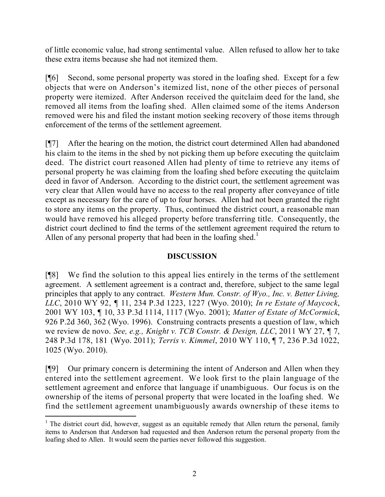of little economic value, had strong sentimental value. Allen refused to allow her to take these extra items because she had not itemized them.

[¶6] Second, some personal property was stored in the loafing shed. Except for a few objects that were on Anderson's itemized list, none of the other pieces of personal property were itemized. After Anderson received the quitclaim deed for the land, she removed all items from the loafing shed. Allen claimed some of the items Anderson removed were his and filed the instant motion seeking recovery of those items through enforcement of the terms of the settlement agreement.

[¶7] After the hearing on the motion, the district court determined Allen had abandoned his claim to the items in the shed by not picking them up before executing the quitclaim deed. The district court reasoned Allen had plenty of time to retrieve any items of personal property he was claiming from the loafing shed before executing the quitclaim deed in favor of Anderson. According to the district court, the settlement agreement was very clear that Allen would have no access to the real property after conveyance of title except as necessary for the care of up to four horses. Allen had not been granted the right to store any items on the property. Thus, continued the district court, a reasonable man would have removed his alleged property before transferring title. Consequently, the district court declined to find the terms of the settlement agreement required the return to Allen of any personal property that had been in the loafing shed.<sup>1</sup>

# **DISCUSSION**

[¶8] We find the solution to this appeal lies entirely in the terms of the settlement agreement. A settlement agreement is a contract and, therefore, subject to the same legal principles that apply to any contract. *Western Mun. Constr. of Wyo., Inc. v. Better Living, LLC*, 2010 WY 92, ¶ 11, 234 P.3d 1223, 1227 (Wyo. 2010); *In re Estate of Maycock*, 2001 WY 103, ¶ 10, 33 P.3d 1114, 1117 (Wyo. 2001); *Matter of Estate of McCormick*, 926 P.2d 360, 362 (Wyo. 1996). Construing contracts presents a question of law, which we review de novo. *See, e.g., Knight v. TCB Constr. & Design, LLC*, 2011 WY 27, ¶ 7, 248 P.3d 178, 181 (Wyo. 2011); *Terris v. Kimmel*, 2010 WY 110, ¶ 7, 236 P.3d 1022, 1025 (Wyo. 2010).

[¶9] Our primary concern is determining the intent of Anderson and Allen when they entered into the settlement agreement. We look first to the plain language of the settlement agreement and enforce that language if unambiguous. Our focus is on the ownership of the items of personal property that were located in the loafing shed. We find the settlement agreement unambiguously awards ownership of these items to

 $\overline{a}$ 

 $1$  The district court did, however, suggest as an equitable remedy that Allen return the personal, family items to Anderson that Anderson had requested and then Anderson return the personal property from the loafing shed to Allen. It would seem the parties never followed this suggestion.